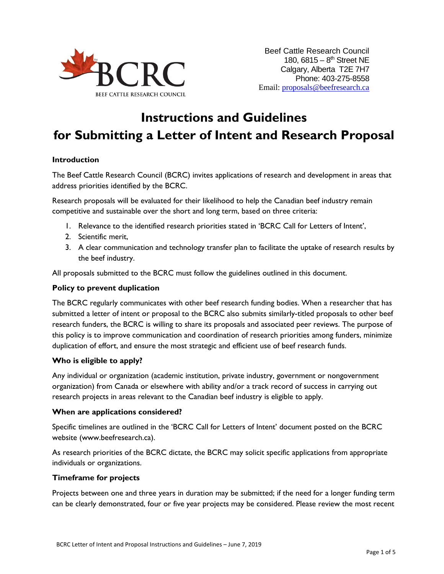

# **Instructions and Guidelines for Submitting a Letter of Intent and Research Proposal**

## **Introduction**

The Beef Cattle Research Council (BCRC) invites applications of research and development in areas that address priorities identified by the BCRC.

Research proposals will be evaluated for their likelihood to help the Canadian beef industry remain competitive and sustainable over the short and long term, based on three criteria:

- 1. Relevance to the identified research priorities stated in 'BCRC Call for Letters of Intent',
- 2. Scientific merit,
- 3. A clear communication and technology transfer plan to facilitate the uptake of research results by the beef industry.

All proposals submitted to the BCRC must follow the guidelines outlined in this document.

#### **Policy to prevent duplication**

The BCRC regularly communicates with other beef research funding bodies. When a researcher that has submitted a letter of intent or proposal to the BCRC also submits similarly-titled proposals to other beef research funders, the BCRC is willing to share its proposals and associated peer reviews. The purpose of this policy is to improve communication and coordination of research priorities among funders, minimize duplication of effort, and ensure the most strategic and efficient use of beef research funds.

## **Who is eligible to apply?**

Any individual or organization (academic institution, private industry, government or nongovernment organization) from Canada or elsewhere with ability and/or a track record of success in carrying out research projects in areas relevant to the Canadian beef industry is eligible to apply.

## **When are applications considered?**

Specific timelines are outlined in the 'BCRC Call for Letters of Intent' document posted on the BCRC website (www.beefresearch.ca).

As research priorities of the BCRC dictate, the BCRC may solicit specific applications from appropriate individuals or organizations.

## **Timeframe for projects**

Projects between one and three years in duration may be submitted; if the need for a longer funding term can be clearly demonstrated, four or five year projects may be considered. Please review the most recent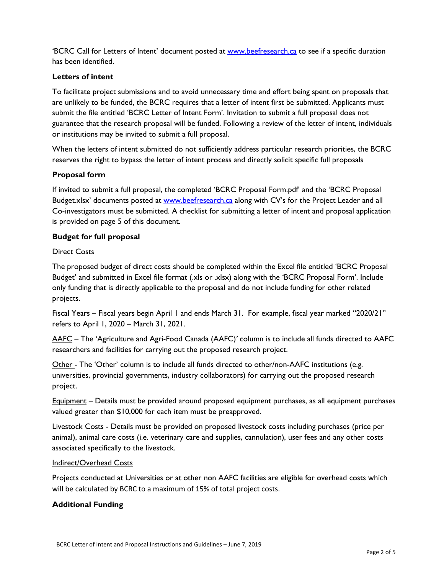'BCRC Call for Letters of Intent' document posted at [www.beefresearch.ca](http://www.beefresearch.ca/) to see if a specific duration has been identified.

## **Letters of intent**

To facilitate project submissions and to avoid unnecessary time and effort being spent on proposals that are unlikely to be funded, the BCRC requires that a letter of intent first be submitted. Applicants must submit the file entitled 'BCRC Letter of Intent Form'. Invitation to submit a full proposal does not guarantee that the research proposal will be funded. Following a review of the letter of intent, individuals or institutions may be invited to submit a full proposal.

When the letters of intent submitted do not sufficiently address particular research priorities, the BCRC reserves the right to bypass the letter of intent process and directly solicit specific full proposals

## **Proposal form**

If invited to submit a full proposal, the completed 'BCRC Proposal Form.pdf' and the 'BCRC Proposal Budget.xlsx' documents posted at [www.beefresearch.ca](http://www.beefresearch.ca/) along with CV's for the Project Leader and all Co-investigators must be submitted. A checklist for submitting a letter of intent and proposal application is provided on page 5 of this document.

## **Budget for full proposal**

## **Direct Costs**

The proposed budget of direct costs should be completed within the Excel file entitled 'BCRC Proposal Budget' and submitted in Excel file format (.xls or .xlsx) along with the 'BCRC Proposal Form'. Include only funding that is directly applicable to the proposal and do not include funding for other related projects.

Fiscal Years – Fiscal years begin April 1 and ends March 31. For example, fiscal year marked "2020/21" refers to April 1, 2020 – March 31, 2021.

AAFC – The 'Agriculture and Agri-Food Canada (AAFC)*'* column is to include all funds directed to AAFC researchers and facilities for carrying out the proposed research project.

Other - The 'Other' column is to include all funds directed to other/non-AAFC institutions (e.g. universities, provincial governments, industry collaborators) for carrying out the proposed research project.

Equipment – Details must be provided around proposed equipment purchases, as all equipment purchases valued greater than \$10,000 for each item must be preapproved.

Livestock Costs - Details must be provided on proposed livestock costs including purchases (price per animal), animal care costs (i.e. veterinary care and supplies, cannulation), user fees and any other costs associated specifically to the livestock.

## Indirect/Overhead Costs

Projects conducted at Universities or at other non AAFC facilities are eligible for overhead costs which will be calculated by BCRC to a maximum of 15% of total project costs.

## **Additional Funding**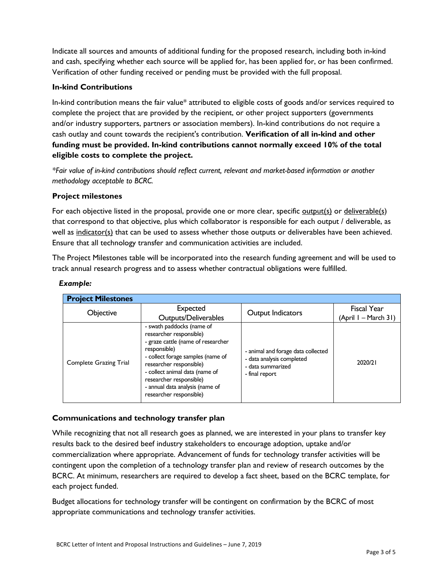Indicate all sources and amounts of additional funding for the proposed research, including both in-kind and cash, specifying whether each source will be applied for, has been applied for, or has been confirmed. Verification of other funding received or pending must be provided with the full proposal.

## **In-kind Contributions**

In-kind contribution means the fair value\* attributed to eligible costs of goods and/or services required to complete the project that are provided by the recipient, or other project supporters (governments and/or industry supporters, partners or association members). In-kind contributions do not require a cash outlay and count towards the recipient's contribution. **Verification of all in-kind and other funding must be provided. In-kind contributions cannot normally exceed 10% of the total eligible costs to complete the project.**

*\*Fair value of in-kind contributions should reflect current, relevant and market-based information or another methodology acceptable to BCRC.*

## **Project milestones**

For each objective listed in the proposal, provide one or more clear, specific output(s) or deliverable(s) that correspond to that objective, plus which collaborator is responsible for each output / deliverable, as well as indicator(s) that can be used to assess whether those outputs or deliverables have been achieved. Ensure that all technology transfer and communication activities are included.

The Project Milestones table will be incorporated into the research funding agreement and will be used to track annual research progress and to assess whether contractual obligations were fulfilled.

| <b>Project Milestones</b>     |                                                                                                                                                                                                                                                                                                       |                                                                                                        |                      |
|-------------------------------|-------------------------------------------------------------------------------------------------------------------------------------------------------------------------------------------------------------------------------------------------------------------------------------------------------|--------------------------------------------------------------------------------------------------------|----------------------|
| Objective                     | <b>Expected</b>                                                                                                                                                                                                                                                                                       | Output Indicators                                                                                      | Fiscal Year          |
|                               | Outputs/Deliverables                                                                                                                                                                                                                                                                                  |                                                                                                        | (April I – March 31) |
| <b>Complete Grazing Trial</b> | - swath paddocks (name of<br>researcher responsible)<br>- graze cattle (name of researcher<br>responsible)<br>- collect forage samples (name of<br>researcher responsible)<br>- collect animal data (name of<br>researcher responsible)<br>- annual data analysis (name of<br>researcher responsible) | - animal and forage data collected<br>- data analysis completed<br>- data summarized<br>- final report | 2020/21              |

## *Example:*

## **Communications and technology transfer plan**

While recognizing that not all research goes as planned, we are interested in your plans to transfer key results back to the desired beef industry stakeholders to encourage adoption, uptake and/or commercialization where appropriate. Advancement of funds for technology transfer activities will be contingent upon the completion of a technology transfer plan and review of research outcomes by the BCRC. At minimum, researchers are required to develop a fact sheet, based on the BCRC template, for each project funded.

Budget allocations for technology transfer will be contingent on confirmation by the BCRC of most appropriate communications and technology transfer activities.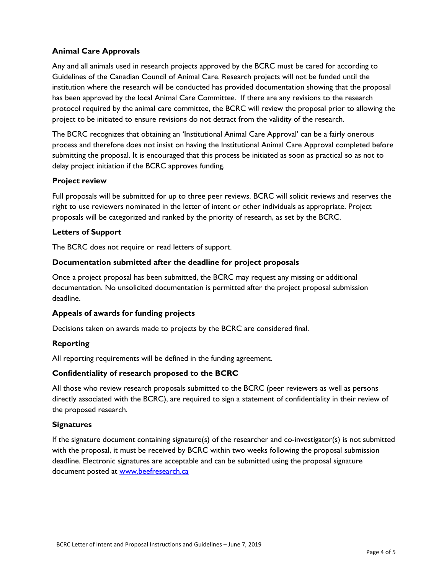## **Animal Care Approvals**

Any and all animals used in research projects approved by the BCRC must be cared for according to Guidelines of the Canadian Council of Animal Care. Research projects will not be funded until the institution where the research will be conducted has provided documentation showing that the proposal has been approved by the local Animal Care Committee. If there are any revisions to the research protocol required by the animal care committee, the BCRC will review the proposal prior to allowing the project to be initiated to ensure revisions do not detract from the validity of the research.

The BCRC recognizes that obtaining an 'Institutional Animal Care Approval' can be a fairly onerous process and therefore does not insist on having the Institutional Animal Care Approval completed before submitting the proposal. It is encouraged that this process be initiated as soon as practical so as not to delay project initiation if the BCRC approves funding.

## **Project review**

Full proposals will be submitted for up to three peer reviews. BCRC will solicit reviews and reserves the right to use reviewers nominated in the letter of intent or other individuals as appropriate. Project proposals will be categorized and ranked by the priority of research, as set by the BCRC.

#### **Letters of Support**

The BCRC does not require or read letters of support.

#### **Documentation submitted after the deadline for project proposals**

Once a project proposal has been submitted, the BCRC may request any missing or additional documentation. No unsolicited documentation is permitted after the project proposal submission deadline.

## **Appeals of awards for funding projects**

Decisions taken on awards made to projects by the BCRC are considered final.

## **Reporting**

All reporting requirements will be defined in the funding agreement.

## **Confidentiality of research proposed to the BCRC**

All those who review research proposals submitted to the BCRC (peer reviewers as well as persons directly associated with the BCRC), are required to sign a statement of confidentiality in their review of the proposed research.

#### **Signatures**

If the signature document containing signature(s) of the researcher and co-investigator(s) is not submitted with the proposal, it must be received by BCRC within two weeks following the proposal submission deadline. Electronic signatures are acceptable and can be submitted using the proposal signature document posted at [www.beefresearch.ca](http://www.beefresearch.ca/)